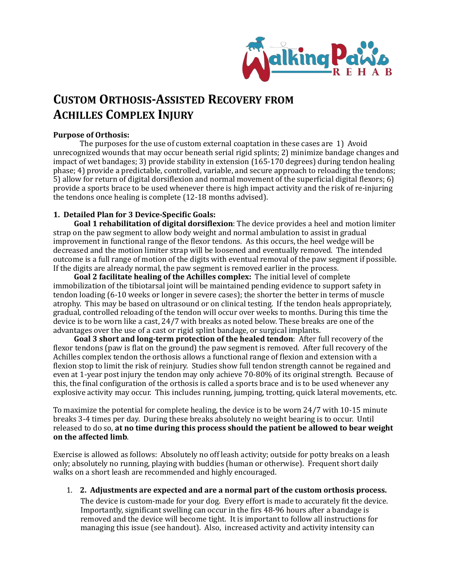

## **CUSTOM ORTHOSIS-ASSISTED RECOVERY FROM ACHILLES COMPLEX INJURY**

## **Purpose of Orthosis:**

The purposes for the use of custom external coaptation in these cases are  $1)$  Avoid unrecognized wounds that may occur beneath serial rigid splints; 2) minimize bandage changes and impact of wet bandages; 3) provide stability in extension  $(165-170 \text{ degrees})$  during tendon healing phase; 4) provide a predictable, controlled, variable, and secure approach to reloading the tendons; 5) allow for return of digital dorsiflexion and normal movement of the superficial digital flexors;  $\epsilon$ ) provide a sports brace to be used whenever there is high impact activity and the risk of re-injuring the tendons once healing is complete  $(12-18 \text{ months advised})$ .

## **1. Detailed Plan for 3 Device-Specific Goals:**

**Goal 1 rehabilitation of digital dorsiflexion**: The device provides a heel and motion limiter strap on the paw segment to allow body weight and normal ambulation to assist in gradual improvement in functional range of the flexor tendons. As this occurs, the heel wedge will be decreased and the motion limiter strap will be loosened and eventually removed. The intended outcome is a full range of motion of the digits with eventual removal of the paw segment if possible. If the digits are already normal, the paw segment is removed earlier in the process.

**Goal 2 facilitate healing of the Achilles complex:** The initial level of complete immobilization of the tibiotarsal joint will be maintained pending evidence to support safety in tendon loading (6-10 weeks or longer in severe cases); the shorter the better in terms of muscle atrophy. This may be based on ultrasound or on clinical testing. If the tendon heals appropriately, gradual, controlled reloading of the tendon will occur over weeks to months. During this time the device is to be worn like a cast, 24/7 with breaks as noted below. These breaks are one of the advantages over the use of a cast or rigid splint bandage, or surgical implants.

**Goal 3 short and long-term protection of the healed tendon:** After full recovery of the flexor tendons (paw is flat on the ground) the paw segment is removed. After full recovery of the Achilles complex tendon the orthosis allows a functional range of flexion and extension with a flexion stop to limit the risk of reinjury. Studies show full tendon strength cannot be regained and even at 1-year post injury the tendon may only achieve 70-80% of its original strength. Because of this, the final configuration of the orthosis is called a sports brace and is to be used whenever any explosive activity may occur. This includes running, jumping, trotting, quick lateral movements, etc.

To maximize the potential for complete healing, the device is to be worn  $24/7$  with  $10-15$  minute breaks 3-4 times per day. During these breaks absolutely no weight bearing is to occur. Until released to do so, at no time during this process should the patient be allowed to bear weight **on the affected limb**. 

Exercise is allowed as follows: Absolutely no off leash activity; outside for potty breaks on a leash only; absolutely no running, playing with buddies (human or otherwise). Frequent short daily walks on a short leash are recommended and highly encouraged.

1. **2.** Adjustments are expected and are a normal part of the custom orthosis process.

The device is custom-made for your dog. Every effort is made to accurately fit the device. Importantly, significant swelling can occur in the firs 48-96 hours after a bandage is removed and the device will become tight. It is important to follow all instructions for managing this issue (see handout). Also, increased activity and activity intensity can